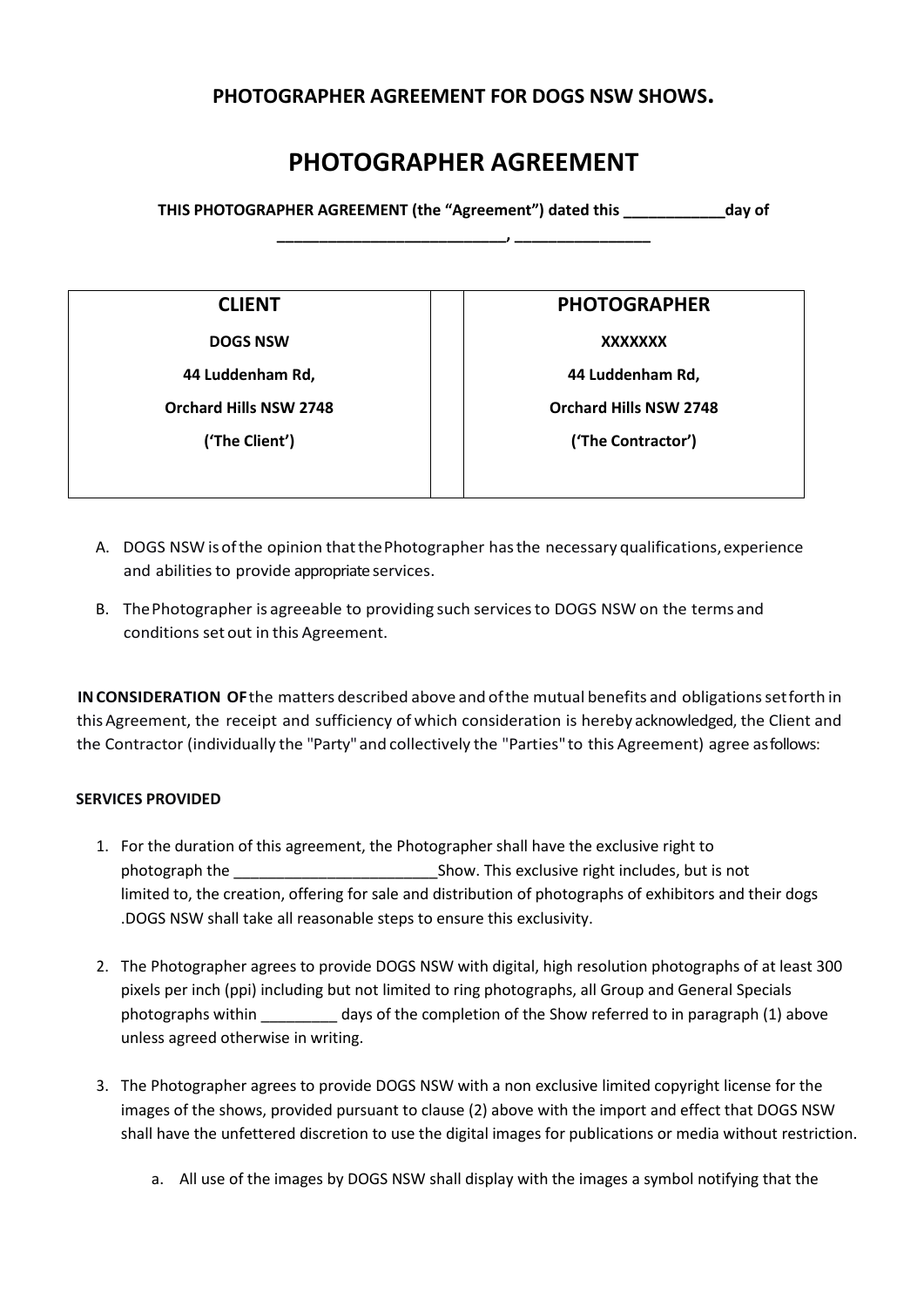# **PHOTOGRAPHER AGREEMENT FOR DOGS NSW SHOWS.**

# **PHOTOGRAPHER AGREEMENT**

**THIS PHOTOGRAPHER AGREEMENT (the "Agreement") dated this \_\_\_\_\_\_\_\_\_\_\_\_day of \_\_\_\_\_\_\_\_\_\_\_\_\_\_\_\_\_\_\_\_\_\_\_\_\_\_\_, \_\_\_\_\_\_\_\_\_\_\_\_\_\_\_\_** 

| ш<br>ш |  |  |
|--------|--|--|
|--------|--|--|

**DOGS NSW XXXXXXX 44 Luddenham Rd, Orchard Hills NSW 2748 ('The Client')** 

**PHOTOGRAPHER** 

**44 Luddenham Rd, Orchard Hills NSW 2748** 

**('The Contractor')** 

- A. DOGS NSW is of the opinion that the Photographer has the necessary qualifications, experience and abilities to provide appropriate services.
- B. The Photographer is agreeable to providing such services to DOGS NSW on the terms and conditions set out in this Agreement.

**IN CONSIDERATION OF the matters described above and of the mutual benefits and obligations set forth in** this Agreement, the receipt and sufficiency of which consideration is hereby acknowledged, the Client and the Contractor (individually the "Party" and collectively the "Parties" to this Agreement) agree as follows:

# **SERVICES PROVIDED**

- 1. For the duration of this agreement, the Photographer shall have the exclusive right to photograph the \_\_\_\_\_\_\_\_\_\_\_\_\_\_\_\_\_\_\_\_\_\_\_\_Show. This exclusive right includes, but is not limited to, the creation, offering for sale and distribution of photographs of exhibitors and their dogs .DOGS NSW shall take all reasonable steps to ensure this exclusivity.
- 2. The Photographer agrees to provide DOGS NSW with digital, high resolution photographs of at least 300 pixels per inch (ppi) including but not limited to ring photographs, all Group and General Specials photographs within \_\_\_\_\_\_\_\_\_ days of the completion of the Show referred to in paragraph (1) above unless agreed otherwise in writing.
- 3. The Photographer agrees to provide DOGS NSW with a non exclusive limited copyright license for the images of the shows, provided pursuant to clause (2) above with the import and effect that DOGS NSW shall have the unfettered discretion to use the digital images for publications or media without restriction.
	- a. All use of the images by DOGS NSW shall display with the images a symbol notifying that the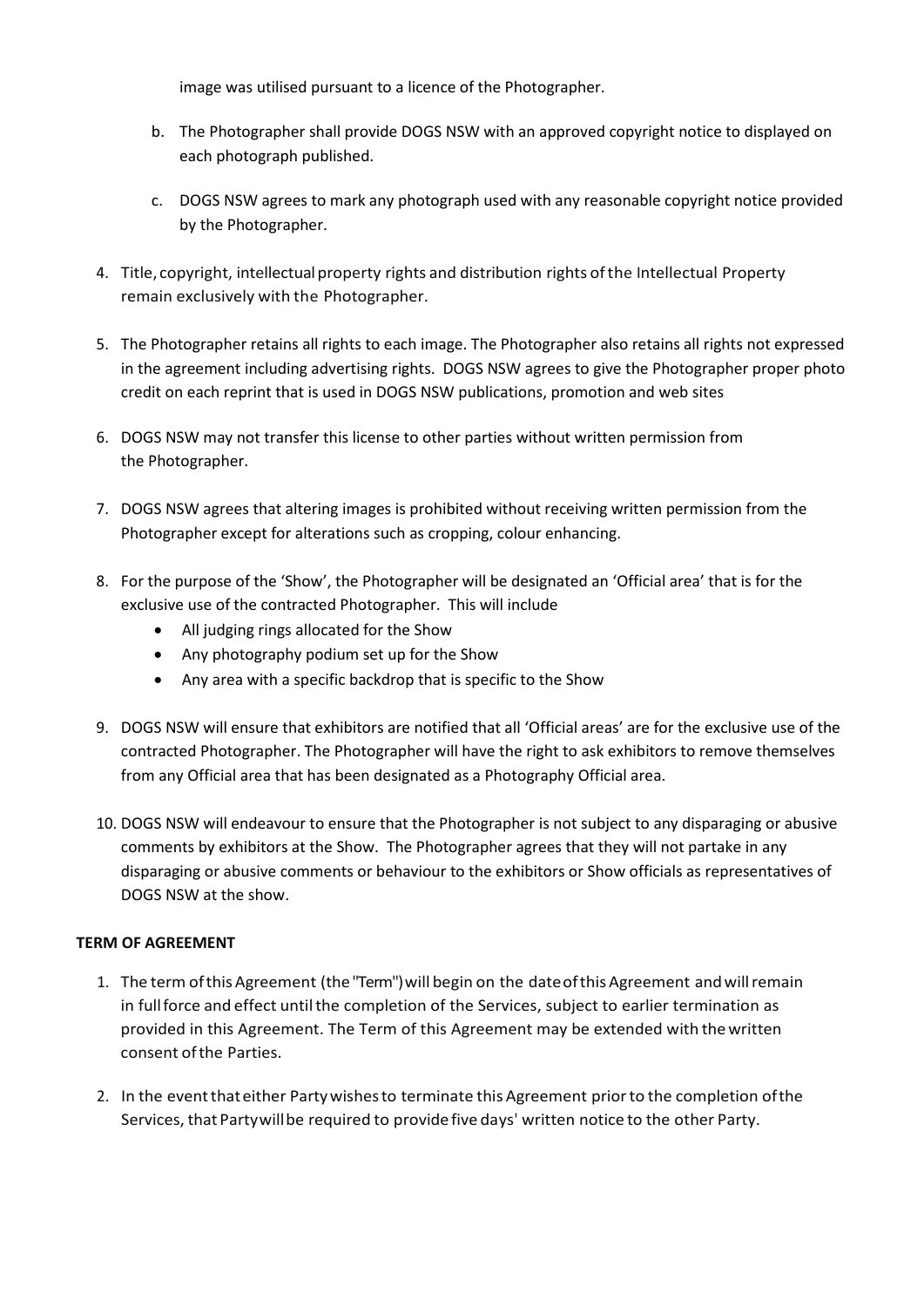image was utilised pursuant to a licence of the Photographer.

- b. The Photographer shall provide DOGS NSW with an approved copyright notice to displayed on each photograph published.
- c. DOGS NSW agrees to mark any photograph used with any reasonable copyright notice provided by the Photographer.
- 4. Title, copyright, intellectual property rights and distribution rights of the Intellectual Property remain exclusively with the Photographer.
- 5. The Photographer retains all rights to each image. The Photographer also retains all rights not expressed in the agreement including advertising rights. DOGS NSW agrees to give the Photographer proper photo credit on each reprint that is used in DOGS NSW publications, promotion and web sites
- 6. DOGS NSW may not transfer this license to other parties without written permission from the Photographer.
- 7. DOGS NSW agrees that altering images is prohibited without receiving written permission from the Photographer except for alterations such as cropping, colour enhancing.
- 8. For the purpose of the 'Show', the Photographer will be designated an 'Official area' that is for the exclusive use of the contracted Photographer. This will include
	- All judging rings allocated for the Show
	- Any photography podium set up for the Show
	- Any area with a specific backdrop that is specific to the Show
- 9. DOGS NSW will ensure that exhibitors are notified that all 'Official areas' are for the exclusive use of the contracted Photographer. The Photographer will have the right to ask exhibitors to remove themselves from any Official area that has been designated as a Photography Official area.
- 10. DOGS NSW will endeavour to ensure that the Photographer is not subject to any disparaging or abusive comments by exhibitors at the Show. The Photographer agrees that they will not partake in any disparaging or abusive comments or behaviour to the exhibitors or Show officials as representatives of DOGS NSW at the show.

# **TERM OF AGREEMENT**

- 1. The term of this Agreement (the "Term") will begin on the date of this Agreement and will remain in full force and effect until the completion of the Services, subject to earlier termination as provided in this Agreement. The Term of this Agreement may be extended with the written consent of the Parties.
- 2. In the event that either Party wishes to terminate this Agreement prior to the completion of the Services, that Party will be required to provide five days' written notice to the other Party.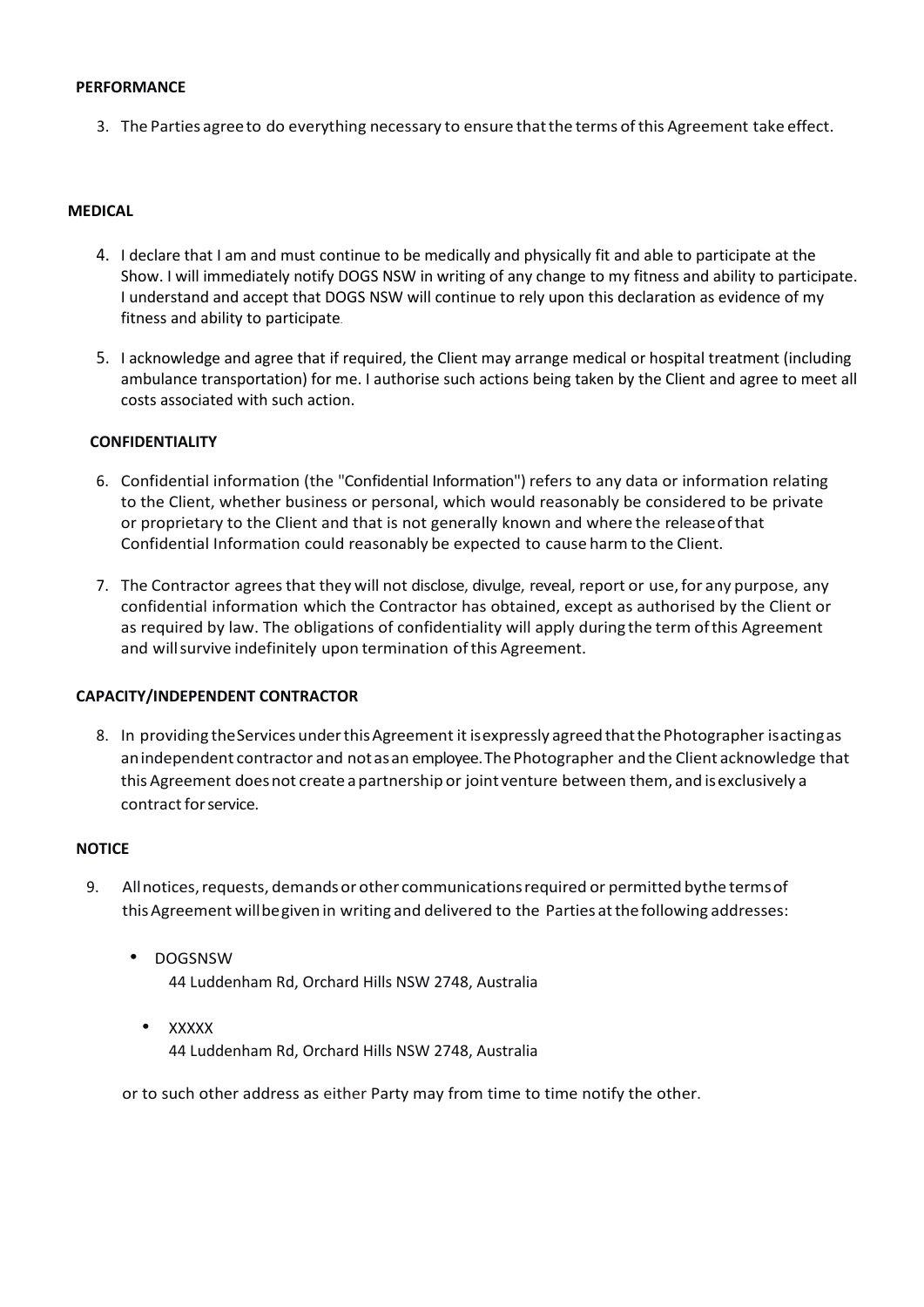#### **PERFORMANCE**

3. The Parties agree to do everything necessary to ensure that the terms of this Agreement take effect.

#### **MEDICAL**

- 4. I declare that I am and must continue to be medically and physically fit and able to participate at the Show. I will immediately notify DOGS NSW in writing of any change to my fitness and ability to participate. I understand and accept that DOGS NSW will continue to rely upon this declaration as evidence of my fitness and ability to participate.
- 5. I acknowledge and agree that if required, the Client may arrange medical or hospital treatment (including ambulance transportation) for me. I authorise such actions being taken by the Client and agree to meet all costs associated with such action.

#### **CONFIDENTIALITY**

- 6. Confidential information (the "Confidential Information") refers to any data or information relating to the Client, whether business or personal, which would reasonably be considered to be private or proprietary to the Client and that is not generally known and where the release of that Confidential Information could reasonably be expected to cause harm to the Client.
- 7. The Contractor agrees that they will not disclose, divulge, reveal, report or use, for any purpose, any confidential information which the Contractor has obtained, except as authorised by the Client or as required by law. The obligations of confidentiality will apply during the term of this Agreement and will survive indefinitely upon termination of this Agreement.

#### **CAPACITY/INDEPENDENT CONTRACTOR**

8. In providing the Services under this Agreement it is expressly agreed that the Photographer is acting as an independent contractor and not as an employee. The Photographer and the Client acknowledge that this Agreement does not create a partnership or joint venture between them, and is exclusively a contract for service.

#### **NOTICE**

- 9. All notices, requests, demands or other communications required or permitted by the terms of this Agreement will be given in writing and delivered to the Parties at the following addresses:
	- DOGSNSW 44 Luddenham Rd, Orchard Hills NSW 2748, Australia
	- XXXXX 44 Luddenham Rd, Orchard Hills NSW 2748, Australia

or to such other address as either Party may from time to time notify the other.